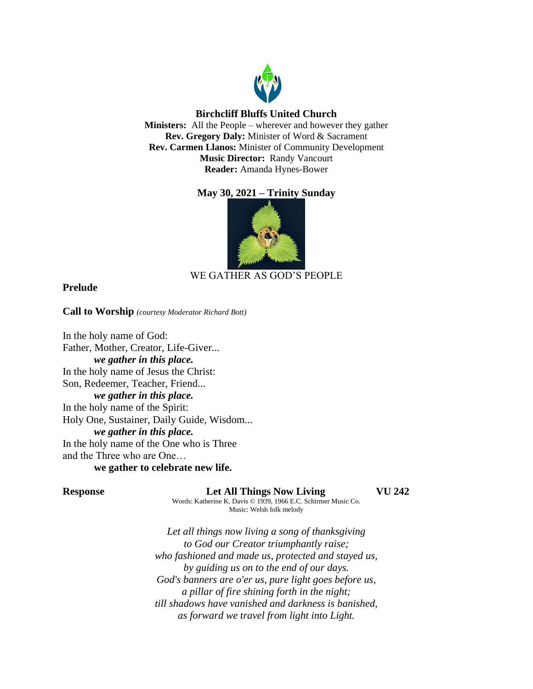

# **Birchcliff Bluffs United Church**

**Ministers:** All the People – wherever and however they gather **Rev. Gregory Daly:** Minister of Word & Sacrament **Rev. Carmen Llanos:** Minister of Community Development **Music Director:** Randy Vancourt **Reader:** Amanda Hynes-Bower

# **May 30, 2021 – Trinity Sunday**



# WE GATHER AS GOD'S PEOPLE

## **Prelude**

**Call to Worship** *(courtesy Moderator Richard Bott)*

In the holy name of God: Father, Mother, Creator, Life-Giver... *we gather in this place.* In the holy name of Jesus the Christ: Son, Redeemer, Teacher, Friend... *we gather in this place.* In the holy name of the Spirit: Holy One, Sustainer, Daily Guide, Wisdom... *we gather in this place.* In the holy name of the One who is Three and the Three who are One… **we gather to celebrate new life.**

**Response Let All Things Now Living VU 242**

Words: Katherine K. Davis © 1939, 1966 E.C. Schirmer Music Co. Music: Welsh folk melody

*Let all things now living a song of thanksgiving to God our Creator triumphantly raise; who fashioned and made us, protected and stayed us, by guiding us on to the end of our days. God's banners are o'er us, pure light goes before us, a pillar of fire shining forth in the night; till shadows have vanished and darkness is banished, as forward we travel from light into Light.*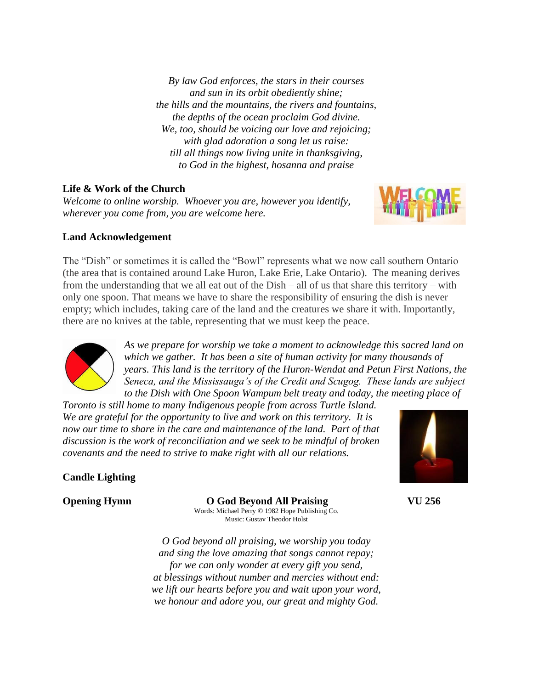*By law God enforces, the stars in their courses and sun in its orbit obediently shine; the hills and the mountains, the rivers and fountains, the depths of the ocean proclaim God divine. We, too, should be voicing our love and rejoicing; with glad adoration a song let us raise: till all things now living unite in thanksgiving, to God in the highest, hosanna and praise*

# **Life & Work of the Church**

*Welcome to online worship. Whoever you are, however you identify, wherever you come from, you are welcome here.*



# **Land Acknowledgement**

The "Dish" or sometimes it is called the "Bowl" represents what we now call southern Ontario (the area that is contained around Lake Huron, Lake Erie, Lake Ontario). The meaning derives from the understanding that we all eat out of the Dish – all of us that share this territory – with only one spoon. That means we have to share the responsibility of ensuring the dish is never empty; which includes, taking care of the land and the creatures we share it with. Importantly, there are no knives at the table, representing that we must keep the peace.



*As we prepare for worship we take a moment to acknowledge this sacred land on which we gather. It has been a site of human activity for many thousands of years. This land is the territory of the Huron-Wendat and Petun First Nations, the Seneca, and the Mississauga's of the Credit and Scugog. These lands are subject to the Dish with One Spoon Wampum belt treaty and today, the meeting place of* 

*Toronto is still home to many Indigenous people from across Turtle Island. We are grateful for the opportunity to live and work on this territory. It is now our time to share in the care and maintenance of the land. Part of that discussion is the work of reconciliation and we seek to be mindful of broken covenants and the need to strive to make right with all our relations.*



# **Candle Lighting**

**Opening Hymn O God Beyond All Praising VU 256** Words: Michael Perry © 1982 Hope Publishing Co. Music: Gustav Theodor Holst

> *O God beyond all praising, we worship you today and sing the love amazing that songs cannot repay; for we can only wonder at every gift you send, at blessings without number and mercies without end: we lift our hearts before you and wait upon your word, we honour and adore you, our great and mighty God.*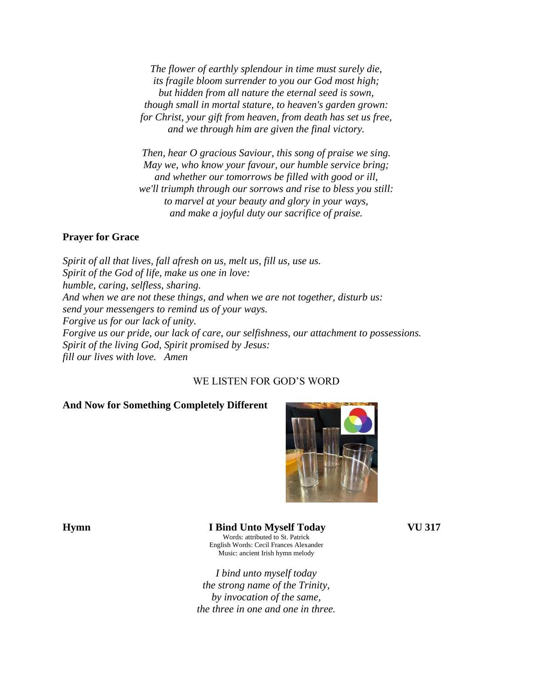*The flower of earthly splendour in time must surely die, its fragile bloom surrender to you our God most high; but hidden from all nature the eternal seed is sown, though small in mortal stature, to heaven's garden grown: for Christ, your gift from heaven, from death has set us free, and we through him are given the final victory.*

*Then, hear O gracious Saviour, this song of praise we sing. May we, who know your favour, our humble service bring; and whether our tomorrows be filled with good or ill, we'll triumph through our sorrows and rise to bless you still: to marvel at your beauty and glory in your ways, and make a joyful duty our sacrifice of praise.*

### **Prayer for Grace**

*Spirit of all that lives, fall afresh on us, melt us, fill us, use us. Spirit of the God of life, make us one in love: humble, caring, selfless, sharing. And when we are not these things, and when we are not together, disturb us: send your messengers to remind us of your ways. Forgive us for our lack of unity. Forgive us our pride, our lack of care, our selfishness, our attachment to possessions. Spirit of the living God, Spirit promised by Jesus: fill our lives with love. Amen*

## WE LISTEN FOR GOD'S WORD

### **And Now for Something Completely Different**



## **Hymn I Bind Unto Myself Today VU 317**

Words: attributed to St. Patrick English Words: Cecil Frances Alexander Music: ancient Irish hymn melody

*I bind unto myself today the strong name of the Trinity, by invocation of the same, the three in one and one in three.*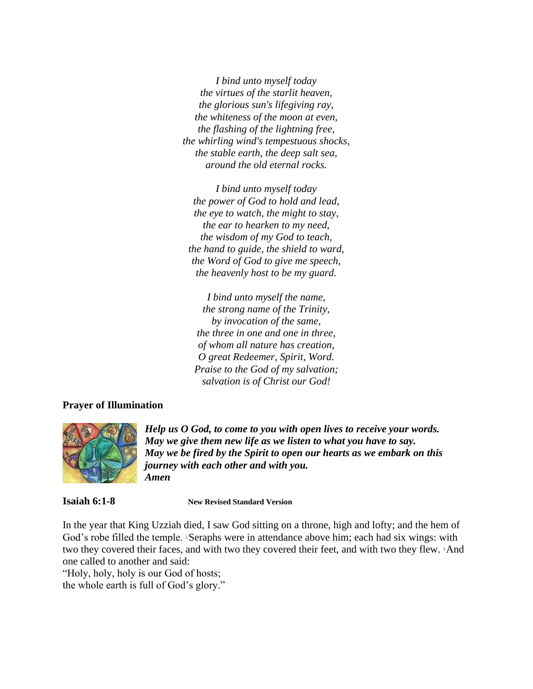*I bind unto myself today the virtues of the starlit heaven, the glorious sun's lifegiving ray, the whiteness of the moon at even, the flashing of the lightning free, the whirling wind's tempestuous shocks, the stable earth, the deep salt sea, around the old eternal rocks.*

*I bind unto myself today the power of God to hold and lead, the eye to watch, the might to stay, the ear to hearken to my need, the wisdom of my God to teach, the hand to guide, the shield to ward, the Word of God to give me speech, the heavenly host to be my guard.*

*I bind unto myself the name, the strong name of the Trinity, by invocation of the same, the three in one and one in three, of whom all nature has creation, O great Redeemer, Spirit, Word. Praise to the God of my salvation; salvation is of Christ our God!*

### **Prayer of Illumination**



*Help us O God, to come to you with open lives to receive your words. May we give them new life as we listen to what you have to say. May we be fired by the Spirit to open our hearts as we embark on this journey with each other and with you. Amen*

**Isaiah 6:1-8 New Revised Standard Version**

In the year that King Uzziah died, I saw God sitting on a throne, high and lofty; and the hem of God's robe filled the temple. <sup>2</sup>Seraphs were in attendance above him; each had six wings: with two they covered their faces, and with two they covered their feet, and with two they flew. 3And one called to another and said:

"Holy, holy, holy is our God of hosts; the whole earth is full of God's glory."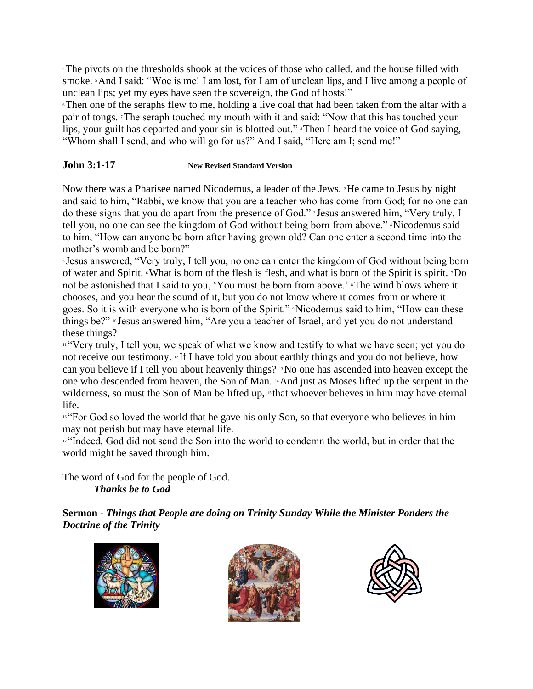<sup>4</sup>The pivots on the thresholds shook at the voices of those who called, and the house filled with smoke. 5And I said: "Woe is me! I am lost, for I am of unclean lips, and I live among a people of unclean lips; yet my eyes have seen the sovereign, the God of hosts!"

<sup>6</sup>Then one of the seraphs flew to me, holding a live coal that had been taken from the altar with a pair of tongs. 7The seraph touched my mouth with it and said: "Now that this has touched your lips, your guilt has departed and your sin is blotted out." <sup>8</sup>Then I heard the voice of God saying, "Whom shall I send, and who will go for us?" And I said, "Here am I; send me!"

# **John 3:1-17 New Revised Standard Version**

Now there was a Pharisee named Nicodemus, a leader of the Jews. 2He came to Jesus by night and said to him, "Rabbi, we know that you are a teacher who has come from God; for no one can do these signs that you do apart from the presence of God." <sup>3</sup> Jesus answered him, "Very truly, I tell you, no one can see the kingdom of God without being born from above." 4Nicodemus said to him, "How can anyone be born after having grown old? Can one enter a second time into the mother's womb and be born?"

<sup>5</sup> Jesus answered, "Very truly, I tell you, no one can enter the kingdom of God without being born of water and Spirit. 6What is born of the flesh is flesh, and what is born of the Spirit is spirit. 7Do not be astonished that I said to you, 'You must be born from above.' 8The wind blows where it chooses, and you hear the sound of it, but you do not know where it comes from or where it goes. So it is with everyone who is born of the Spirit." 9Nicodemus said to him, "How can these things be?" <sup>10</sup> Jesus answered him, "Are you a teacher of Israel, and yet you do not understand these things?

11 "Very truly, I tell you, we speak of what we know and testify to what we have seen; yet you do not receive our testimony. <sup>12</sup> If I have told you about earthly things and you do not believe, how can you believe if I tell you about heavenly things? 13No one has ascended into heaven except the one who descended from heaven, the Son of Man. 14And just as Moses lifted up the serpent in the wilderness, so must the Son of Man be lifted up, <sup>15</sup> that whoever believes in him may have eternal life.

<sup>16</sup> "For God so loved the world that he gave his only Son, so that everyone who believes in him may not perish but may have eternal life.

<sup>17</sup> "Indeed, God did not send the Son into the world to condemn the world, but in order that the world might be saved through him.

The word of God for the people of God. *Thanks be to God*

**Sermon** *- Things that People are doing on Trinity Sunday While the Minister Ponders the Doctrine of the Trinity*





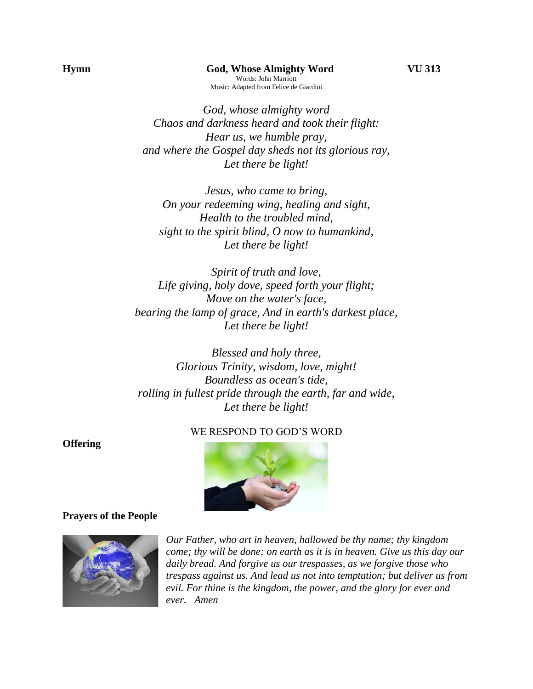*God, whose almighty word Chaos and darkness heard and took their flight: Hear us, we humble pray, and where the Gospel day sheds not its glorious ray, Let there be light!*

*Jesus, who came to bring, On your redeeming wing, healing and sight, Health to the troubled mind, sight to the spirit blind, O now to humankind, Let there be light!*

*Spirit of truth and love, Life giving, holy dove, speed forth your flight; Move on the water's face, bearing the lamp of grace, And in earth's darkest place, Let there be light!*

*Blessed and holy three, Glorious Trinity, wisdom, love, might! Boundless as ocean's tide, rolling in fullest pride through the earth, far and wide, Let there be light!*

## WE RESPOND TO GOD'S WORD



### **Prayers of the People**

**Offering** 



*Our Father, who art in heaven, hallowed be thy name; thy kingdom come; thy will be done; on earth as it is in heaven. Give us this day our daily bread. And forgive us our trespasses, as we forgive those who trespass against us. And lead us not into temptation; but deliver us from evil. For thine is the kingdom, the power, and the glory for ever and ever. Amen*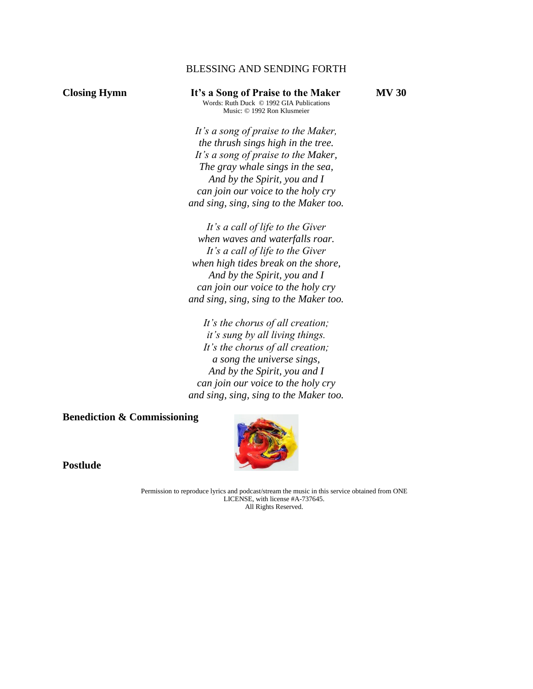## BLESSING AND SENDING FORTH

**Closing Hymn It's a Song of Praise to the Maker MV 30** Words: Ruth Duck © 1992 GIA Publications Music: © 1992 Ron Klusmeier

> *It's a song of praise to the Maker, the thrush sings high in the tree. It's a song of praise to the Maker, The gray whale sings in the sea, And by the Spirit, you and I can join our voice to the holy cry and sing, sing, sing to the Maker too.*

> *It's a call of life to the Giver when waves and waterfalls roar. It's a call of life to the Giver when high tides break on the shore, And by the Spirit, you and I can join our voice to the holy cry and sing, sing, sing to the Maker too.*

> *It's the chorus of all creation; it's sung by all living things. It's the chorus of all creation; a song the universe sings, And by the Spirit, you and I can join our voice to the holy cry and sing, sing, sing to the Maker too.*

**Benediction & Commissioning**



**Postlude**

Permission to reproduce lyrics and podcast/stream the music in this service obtained from ONE LICENSE, with license #A-737645. All Rights Reserved.